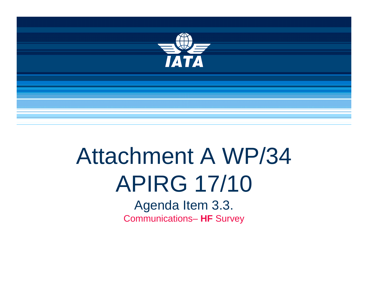

## Attachment A WP/34 the contract of the contract of the contract of the contract of the contract of the contract of the contract of APIRG 17/10

Agenda Item 3.3. Communications– **HF** Survey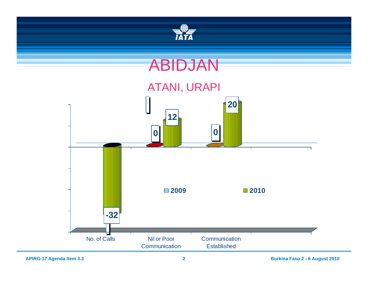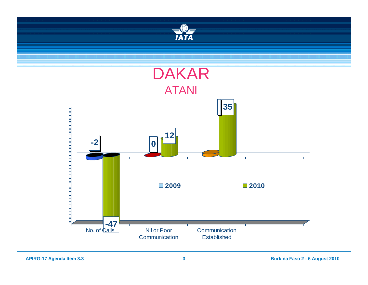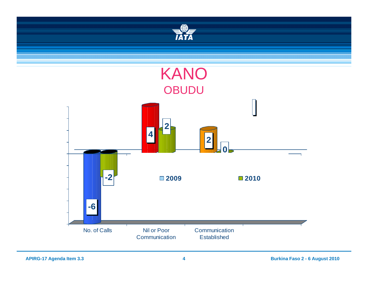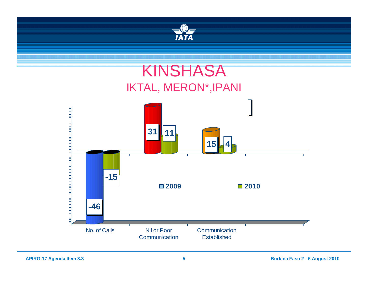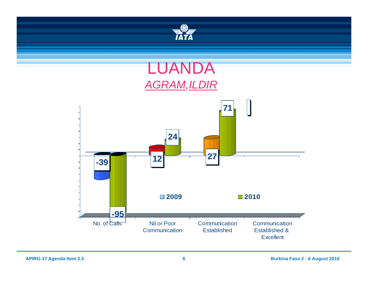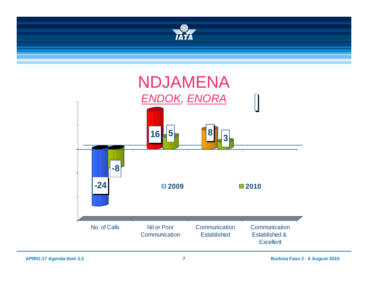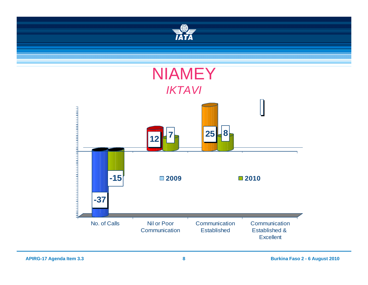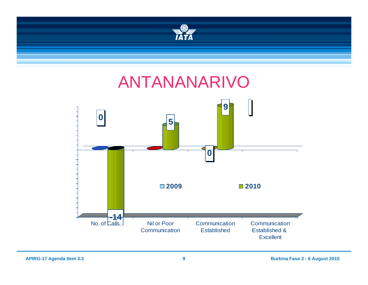

## ANTANANARIVO